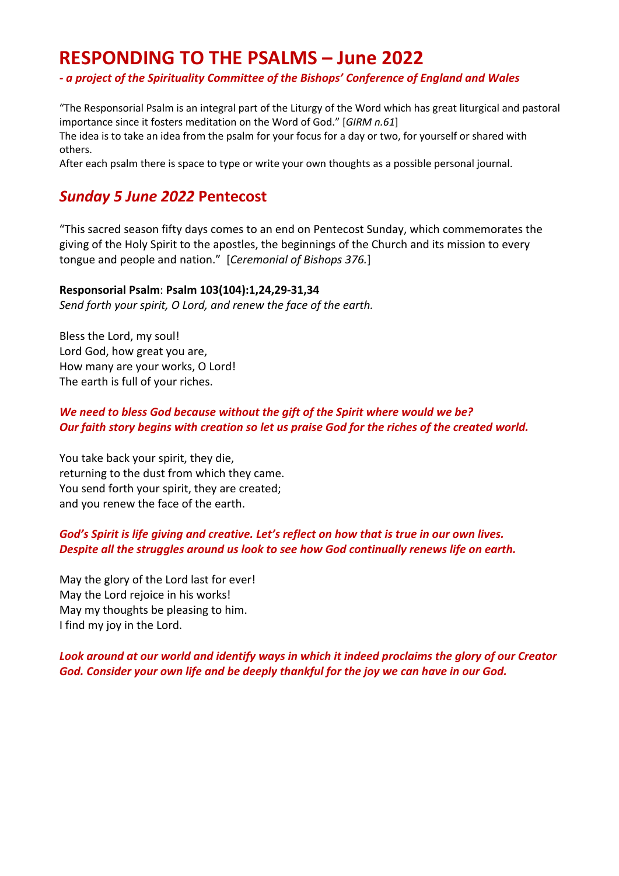# **RESPONDING TO THE PSALMS – June 2022**

### *- a project of the Spirituality Committee of the Bishops' Conference of England and Wales*

"The Responsorial Psalm is an integral part of the Liturgy of the Word which has great liturgical and pastoral importance since it fosters meditation on the Word of God." [*GIRM n.61*]

The idea is to take an idea from the psalm for your focus for a day or two, for yourself or shared with others.

After each psalm there is space to type or write your own thoughts as a possible personal journal.

## *Sunday 5 June 2022* **Pentecost**

"This sacred season fifty days comes to an end on Pentecost Sunday, which commemorates the giving of the Holy Spirit to the apostles, the beginnings of the Church and its mission to every tongue and people and nation." [*Ceremonial of Bishops 376.*]

#### **Responsorial Psalm**: **Psalm 103(104):1,24,29-31,34**

*Send forth your spirit, O Lord, and renew the face of the earth.*

Bless the Lord, my soul! Lord God, how great you are, How many are your works, O Lord! The earth is full of your riches.

### *We need to bless God because without the gift of the Spirit where would we be? Our faith story begins with creation so let us praise God for the riches of the created world.*

You take back your spirit, they die, returning to the dust from which they came. You send forth your spirit, they are created; and you renew the face of the earth.

### *God's Spirit is life giving and creative. Let's reflect on how that is true in our own lives. Despite all the struggles around us look to see how God continually renews life on earth.*

May the glory of the Lord last for ever! May the Lord rejoice in his works! May my thoughts be pleasing to him. I find my joy in the Lord.

*Look around at our world and identify ways in which it indeed proclaims the glory of our Creator God. Consider your own life and be deeply thankful for the joy we can have in our God.*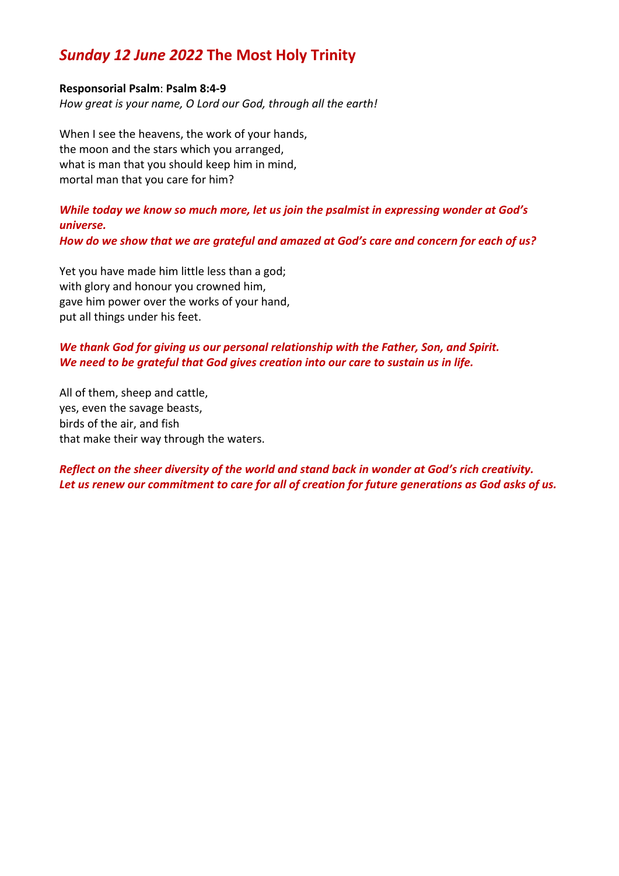## *Sunday 12 June 2022* **The Most Holy Trinity**

#### **Responsorial Psalm**: **Psalm 8:4-9**

*How great is your name, O Lord our God, through all the earth!*

When I see the heavens, the work of your hands, the moon and the stars which you arranged, what is man that you should keep him in mind, mortal man that you care for him?

## *While today we know so much more, let us join the psalmist in expressing wonder at God's universe.*

*How do we show that we are grateful and amazed at God's care and concern for each of us?*

Yet you have made him little less than a god; with glory and honour you crowned him, gave him power over the works of your hand, put all things under his feet.

## *We thank God for giving us our personal relationship with the Father, Son, and Spirit. We need to be grateful that God gives creation into our care to sustain us in life.*

All of them, sheep and cattle, yes, even the savage beasts, birds of the air, and fish that make their way through the waters.

### *Reflect on the sheer diversity of the world and stand back in wonder at God's rich creativity. Let us renew our commitment to care for all of creation for future generations as God asks of us.*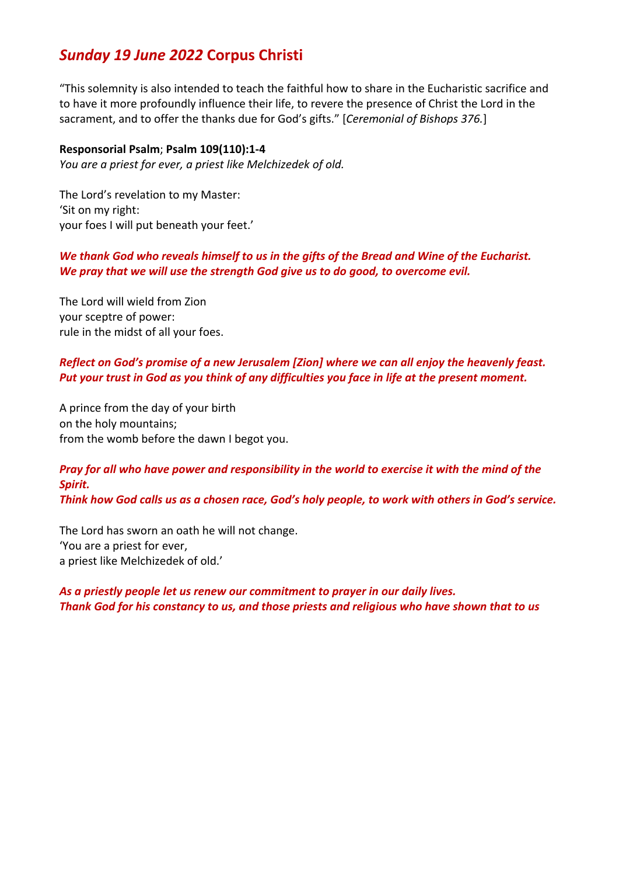## *Sunday 19 June 2022* **Corpus Christi**

"This solemnity is also intended to teach the faithful how to share in the Eucharistic sacrifice and to have it more profoundly influence their life, to revere the presence of Christ the Lord in the sacrament, and to offer the thanks due for God's gifts." [*Ceremonial of Bishops 376.*]

#### **Responsorial Psalm**; **Psalm 109(110):1-4**

*You are a priest for ever, a priest like Melchizedek of old.*

The Lord's revelation to my Master: 'Sit on my right: your foes I will put beneath your feet.'

## *We thank God who reveals himself to us in the gifts of the Bread and Wine of the Eucharist. We pray that we will use the strength God give us to do good, to overcome evil.*

The Lord will wield from Zion your sceptre of power: rule in the midst of all your foes.

### *Reflect on God's promise of a new Jerusalem [Zion] where we can all enjoy the heavenly feast. Put your trust in God as you think of any difficulties you face in life at the present moment.*

A prince from the day of your birth on the holy mountains; from the womb before the dawn I begot you.

## *Pray for all who have power and responsibility in the world to exercise it with the mind of the Spirit.*

*Think how God calls us as a chosen race, God's holy people, to work with others in God's service.*

The Lord has sworn an oath he will not change. 'You are a priest for ever, a priest like Melchizedek of old.'

*As a priestly people let us renew our commitment to prayer in our daily lives. Thank God for his constancy to us, and those priests and religious who have shown that to us*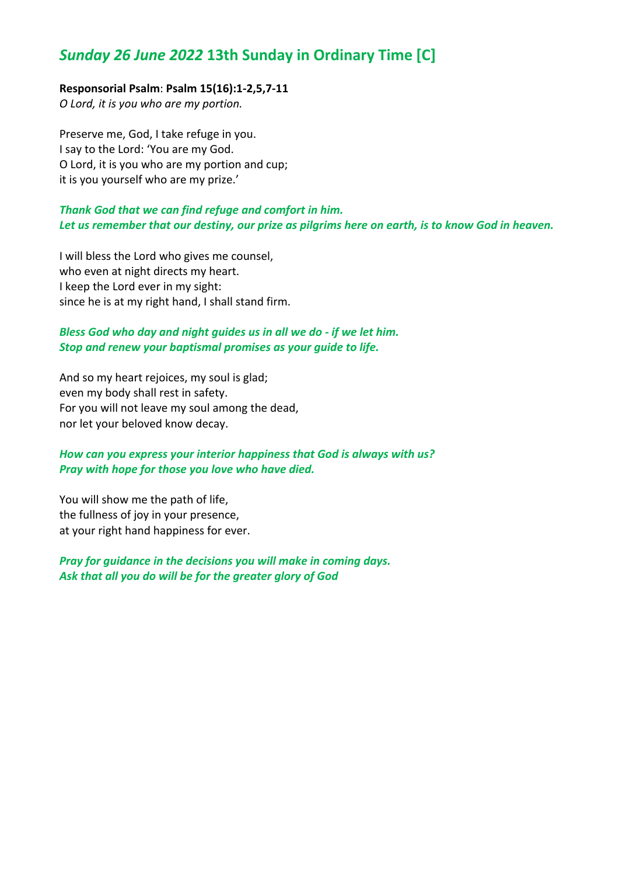## *Sunday 26 June 2022* **13th Sunday in Ordinary Time [C]**

#### **Responsorial Psalm**: **Psalm 15(16):1-2,5,7-11**

*O Lord, it is you who are my portion.*

Preserve me, God, I take refuge in you. I say to the Lord: 'You are my God. O Lord, it is you who are my portion and cup; it is you yourself who are my prize.'

#### *Thank God that we can find refuge and comfort in him. Let us remember that our destiny, our prize as pilgrims here on earth, is to know God in heaven.*

I will bless the Lord who gives me counsel, who even at night directs my heart. I keep the Lord ever in my sight: since he is at my right hand, I shall stand firm.

#### *Bless God who day and night guides us in all we do - if we let him. Stop and renew your baptismal promises as your guide to life.*

And so my heart rejoices, my soul is glad; even my body shall rest in safety. For you will not leave my soul among the dead, nor let your beloved know decay.

### *How can you express your interior happiness that God is always with us? Pray with hope for those you love who have died.*

You will show me the path of life, the fullness of joy in your presence, at your right hand happiness for ever.

*Pray for guidance in the decisions you will make in coming days. Ask that all you do will be for the greater glory of God*